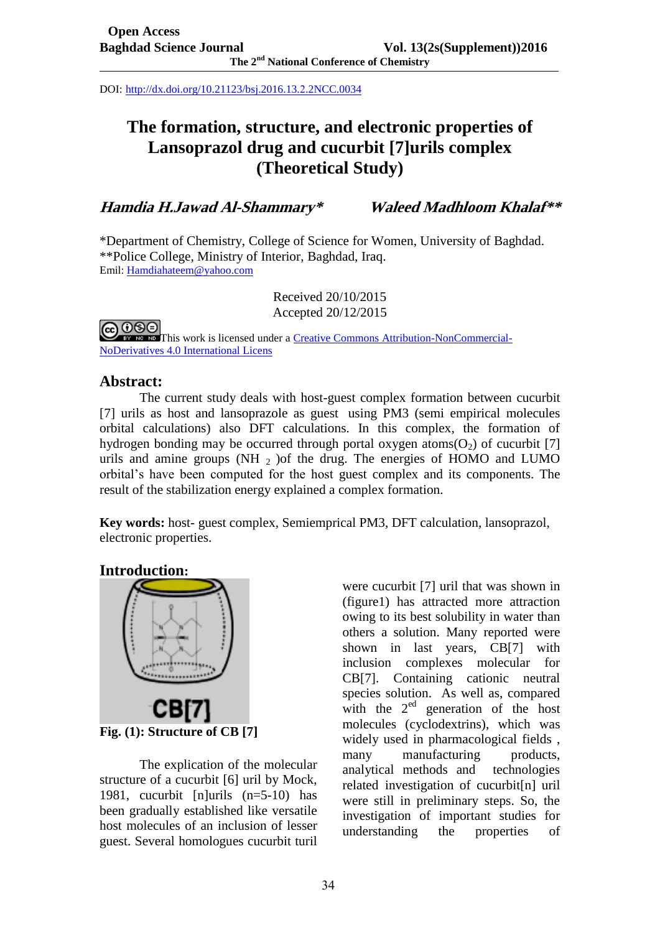DOI: <http://dx.doi.org/10.21123/bsj.2016.13.2.2NCC.0034>

# **The formation, structure, and electronic properties of Lansoprazol drug and cucurbit [7]urils complex (Theoretical Study)**

**Hamdia H.Jawad Al-Shammary\* Waleed Madhloom Khalaf\*\***

\*Department of Chemistry, College of Science for Women, University of Baghdad. \*\*Police College, Ministry of Interior, Baghdad, Iraq. Emil[: Hamdiahateem@yahoo.com](mailto:Hamdiahateem@yahoo.com)

> Received 20/10/2015 Accepted 20/12/2015

ல⊜ **[T](http://creativecommons.org/licenses/by-nc-nd/4.0/)his work is licensed under a [Creative Commons Attribution-NonCommercial-](http://creativecommons.org/licenses/by-nc-nd/4.0/)**[NoDerivatives 4.0 International Licens](http://creativecommons.org/licenses/by-nc-nd/4.0/)

# **Abstract:**

The current study deals with host-guest complex formation between cucurbit [7] urils as host and lansoprazole as guest using PM3 (semi empirical molecules orbital calculations) also DFT calculations. In this complex, the formation of hydrogen bonding may be occurred through portal oxygen atoms( $O<sub>2</sub>$ ) of cucurbit [7] urils and amine groups (NH $_2$ ) of the drug. The energies of HOMO and LUMO orbital's have been computed for the host guest complex and its components. The result of the stabilization energy explained a complex formation.

**Key words:** host- guest complex, Semiemprical PM3, DFT calculation, lansoprazol, electronic properties.

# **Introduction:**



The explication of the molecular structure of a cucurbit [6] uril by Mock, 1981, cucurbit [n]urils (n=5-10) has been gradually established like versatile host molecules of an inclusion of lesser guest. Several homologues cucurbit turil

were cucurbit [7] uril that was shown in (figure1) has attracted more attraction owing to its best solubility in water than others a solution. Many reported were shown in last years, CB[7] with inclusion complexes molecular for CB[7]. Containing cationic neutral species solution. As well as, compared with the  $2<sup>ed</sup>$  generation of the host molecules (cyclodextrins), which was widely used in pharmacological fields , many manufacturing products, analytical methods and technologies related investigation of cucurbit[n] uril were still in preliminary steps. So, the investigation of important studies for understanding the properties of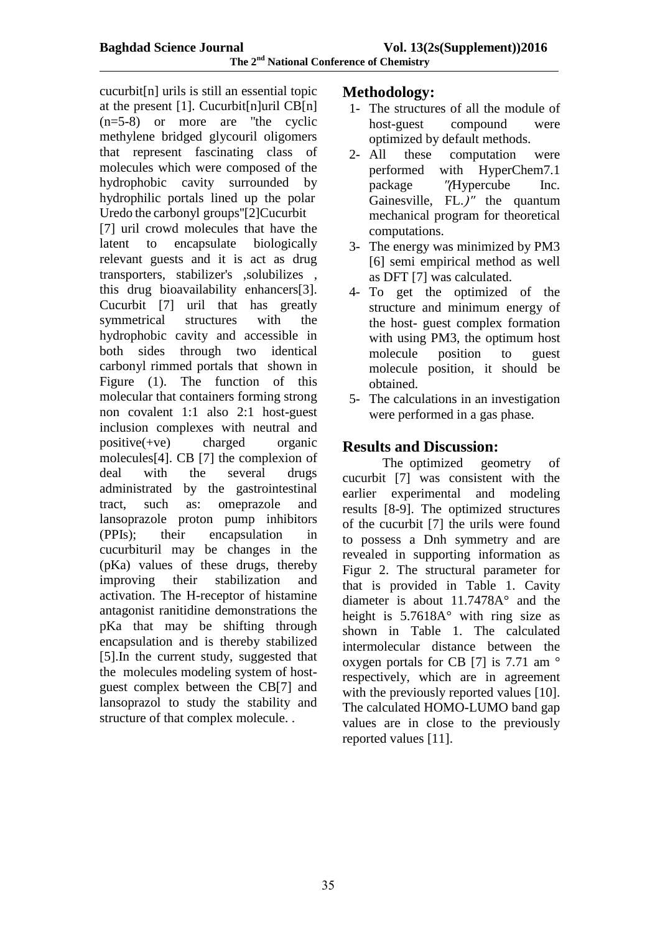cucurbit[n] urils is still an essential topic at the present [1]. Cucurbit[n]uril  $CB[n]$ (n=5-8) or more are ''the cyclic methylene bridged glycouril oligomers that represent fascinating class of molecules which were composed of the hydrophobic cavity surrounded by hydrophilic portals lined up the polar. Uredo the carbonyl groups"[2]Cucurbit [7] uril crowd molecules that have the latent to encapsulate biologically relevant guests and it is act as drug transporters, stabilizer's ,solubilizes , this drug bioavailability enhancers[3]. Cucurbit [7] uril that has greatly symmetrical structures with the hydrophobic cavity and accessible in both sides through two identical carbonyl rimmed portals that shown in Figure (1). The function of this molecular that containers forming strong non covalent 1:1 also 2:1 host-guest inclusion complexes with neutral and positive(+ve) charged organic molecules[4]. CB [7] the complexion of deal with the several drugs administrated by the gastrointestinal tract, such as: omeprazole and lansoprazole proton pump inhibitors (PPIs); their encapsulation in cucurbituril may be changes in the (pKa) values of these drugs, thereby improving their stabilization and activation. The H-receptor of histamine antagonist ranitidine demonstrations the pKa that may be shifting through encapsulation and is thereby stabilized [5].In the current study, suggested that the molecules modeling system of hostguest complex between the CB[7] and lansoprazol to study the stability and structure of that complex molecule. .

# **Methodology:**

- 1- The structures of all the module of host-guest compound were optimized by default methods.
- 2- All these computation were performed with HyperChem7.1 package "(Hypercube Inc. Gainesville, FL.)" the quantum mechanical program for theoretical computations.
- 3- The energy was minimized by PM3 [6] semi empirical method as well as DFT [7] was calculated.
- 4- To get the optimized of the structure and minimum energy of the host- guest complex formation with using PM3, the optimum host molecule position to guest molecule position, it should be obtained.
- 5- The calculations in an investigation were performed in a gas phase.

# **Results and Discussion:**

The optimized geometry of cucurbit [7] was consistent with the earlier experimental and modeling results [8-9]. The optimized structures of the cucurbit [7] the urils were found to possess a Dnh symmetry and are revealed in supporting information as Figur 2. The structural parameter for that is provided in Table 1. Cavity diameter is about 11.7478A° and the height is 5.7618A° with ring size as shown in Table 1. The calculated intermolecular distance between the oxygen portals for CB [7] is 7.71 am ° respectively, which are in agreement with the previously reported values [10]. The calculated HOMO-LUMO band gap values are in close to the previously reported values [11].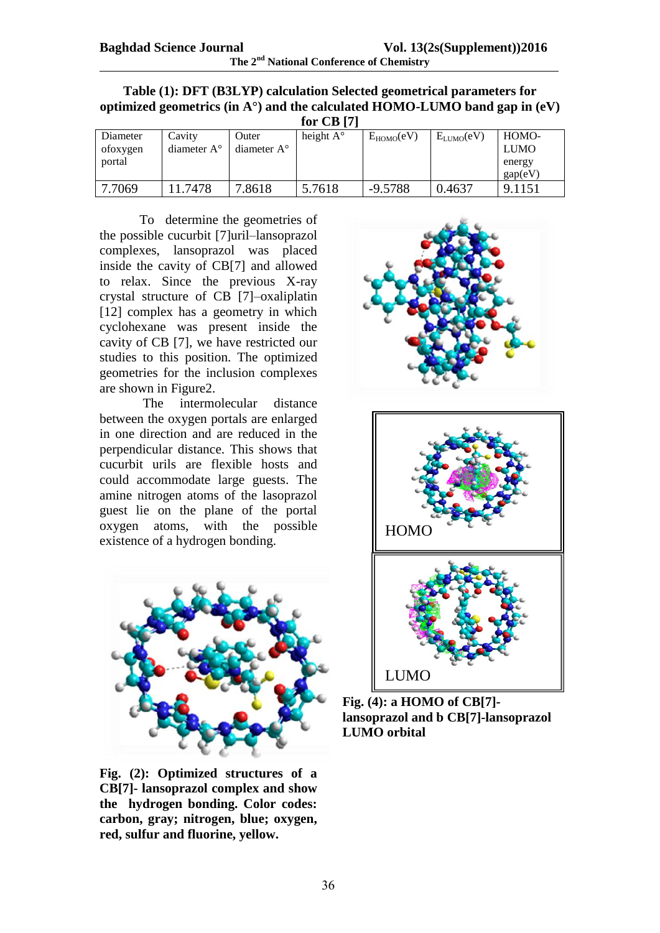| Table (1): DFT (B3LYP) calculation Selected geometrical parameters for               |
|--------------------------------------------------------------------------------------|
| optimized geometrics (in $A^{\circ}$ ) and the calculated HOMO-LUMO band gap in (eV) |

| for $CB$ [7] |                      |                      |                    |                |                |             |  |
|--------------|----------------------|----------------------|--------------------|----------------|----------------|-------------|--|
| Diameter     | Cavity               | Outer                | height $A^{\circ}$ | $E_{HOMO}(eV)$ | $E_{LUMO}(eV)$ | HOMO-       |  |
| ofoxygen     | diameter $A^{\circ}$ | diameter $A^{\circ}$ |                    |                |                | <b>LUMO</b> |  |
| portal       |                      |                      |                    |                |                | energy      |  |
|              |                      |                      |                    |                |                | gap(eV)     |  |
| 7.7069       | 11.7478              | 7.8618               | 5.7618             | $-9.5788$      | 0.4637         | 9.1151      |  |

To determine the geometries of the possible cucurbit [7]uril–lansoprazol complexes, lansoprazol was placed inside the cavity of CB[7] and allowed to relax. Since the previous X-ray crystal structure of CB [7]–oxaliplatin [12] complex has a geometry in which cyclohexane was present inside the cavity of CB [7], we have restricted our studies to this position. The optimized geometries for the inclusion complexes are shown in Figure2.

The intermolecular distance between the oxygen portals are enlarged in one direction and are reduced in the perpendicular distance. This shows that cucurbit urils are flexible hosts and could accommodate large guests. The amine nitrogen atoms of the lasoprazol guest lie on the plane of the portal oxygen atoms, with the possible existence of a hydrogen bonding.



**Fig. (2): Optimized structures of a CB[7]- lansoprazol complex and show the hydrogen bonding. Color codes: carbon, gray; nitrogen, blue; oxygen, red, sulfur and fluorine, yellow.**



**Fig. (4): a HOMO of CB[7] lansoprazol and b CB[7]-lansoprazol LUMO orbital**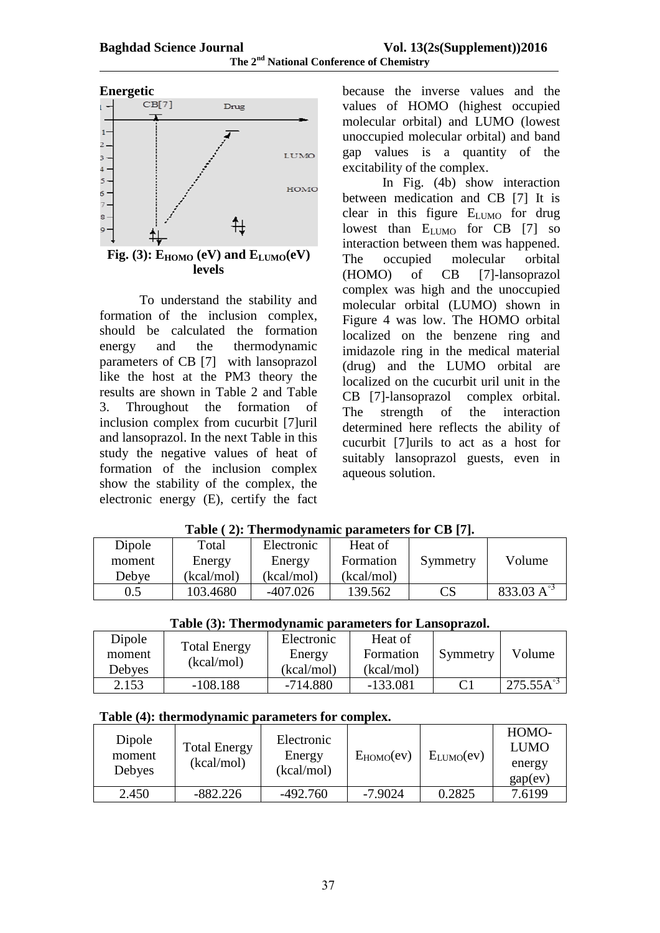

 $Fig. (3): E_{HOMO} (eV)$  and  $E_{LUMO} (eV)$ **levels**

To understand the stability and formation of the inclusion complex, should be calculated the formation energy and the thermodynamic parameters of CB [7] with lansoprazol like the host at the PM3 theory the results are shown in Table 2 and Table 3. Throughout the formation of inclusion complex from cucurbit [7]uril and lansoprazol. In the next Table in this study the negative values of heat of formation of the inclusion complex show the stability of the complex, the electronic energy (E), certify the fact

because the inverse values and the values of HOMO (highest occupied molecular orbital) and LUMO (lowest unoccupied molecular orbital) and band gap values is a quantity of the excitability of the complex.

In Fig. (4b) show interaction between medication and CB [7] It is clear in this figure E<sub>LUMO</sub> for drug lowest than  $E_{LUMO}$  for CB [7] so interaction between them was happened. The occupied molecular orbital (HOMO) of CB [7]-lansoprazol complex was high and the unoccupied molecular orbital (LUMO) shown in Figure 4 was low. The HOMO orbital localized on the benzene ring and imidazole ring in the medical material (drug) and the LUMO orbital are localized on the cucurbit uril unit in the CB [7]-lansoprazol complex orbital. The strength of the interaction determined here reflects the ability of cucurbit [7]urils to act as a host for suitably lansoprazol guests, even in aqueous solution.

| $1000 \leq 10011001$ |            |            |            |                            |              |  |  |  |
|----------------------|------------|------------|------------|----------------------------|--------------|--|--|--|
| Dipole               | Total      | Electronic | Heat of    |                            |              |  |  |  |
| moment               | Energy     | Energy     | Formation  | Symmetry                   | Volume       |  |  |  |
| Debye                | (kcal/mol) | (kcal/mol) | (kcal/mol) |                            |              |  |  |  |
| 0.5                  | 103.4680   | $-407.026$ | 139.562    | $\mathop{\rm CS}\nolimits$ | 833.03 $A^3$ |  |  |  |

|  |  |  |  | Table (2): Thermodynamic parameters for CB [7]. |  |  |
|--|--|--|--|-------------------------------------------------|--|--|
|--|--|--|--|-------------------------------------------------|--|--|

|  |  | Table (3): Thermodynamic parameters for Lansoprazol. |
|--|--|------------------------------------------------------|
|  |  |                                                      |

| Dipole |                     | Electronic | Heat of    |          |                       |
|--------|---------------------|------------|------------|----------|-----------------------|
| moment | <b>Total Energy</b> | Energy     | Formation  | Symmetry | Volume                |
| Debyes | (kcal/mol)          | (kcal/mol) | (kcal/mol) |          |                       |
| 2.153  | $-108.188$          | $-714.880$ | $-133.081$ |          | $275.55 \text{A}^{3}$ |

#### **Table (4): thermodynamic parameters for complex.**

| Dipole<br>moment<br>Debyes | <b>Total Energy</b><br>(kcal/mol) | Electronic<br>Energy<br>(kcal/mol) | $E_{HOMO}(ev)$ | $E_{LUMO}(ev)$ | HOMO-<br><b>LUMO</b><br>energy<br>gap(ev) |
|----------------------------|-----------------------------------|------------------------------------|----------------|----------------|-------------------------------------------|
| 2.450                      | $-882.226$                        | $-492.760$                         | $-7.9024$      | 0.2825         | 7.6199                                    |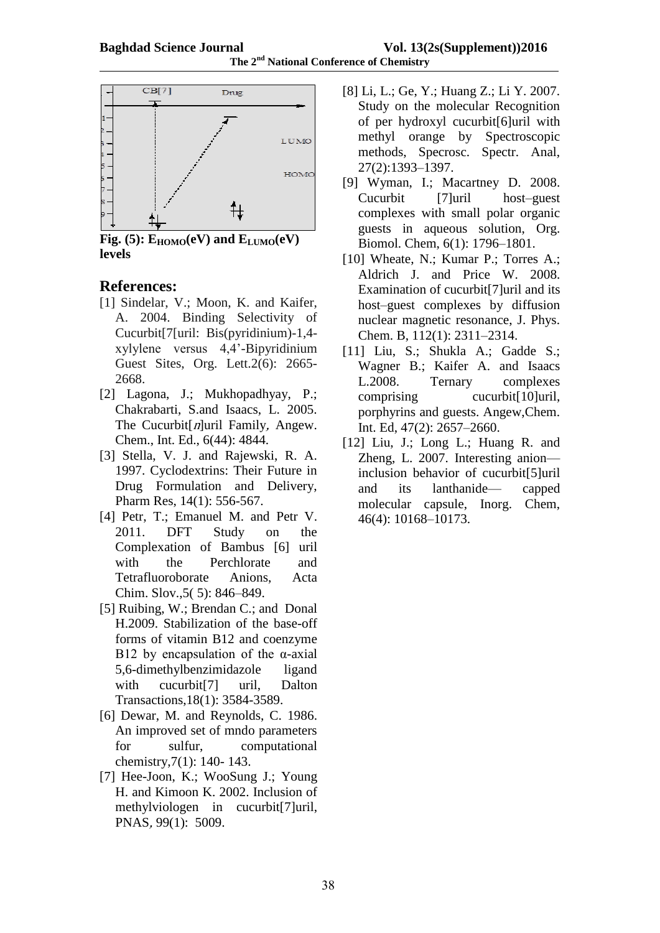

 $Fig. (5): E_{HOMO}(eV)$  and  $E_{LUMO}(eV)$ **levels**

# **References:**

- [1] Sindelar, V.; Moon, K. and Kaifer, A. 2004. Binding Selectivity of Cucurbit[7[uril: Bis(pyridinium)-1,4 xylylene versus 4,4'-Bipyridinium Guest Sites, Org. Lett.2(6): 2665- 2668.
- [2] Lagona, J.; Mukhopadhyay, P.; Chakrabarti, S.and Isaacs, L. 2005. The Cucurbit $[n]$ uril Family, Angew. Chem., Int. Ed., 6(44): 4844.
- [3] Stella, V. J. and Rajewski, R. A. 1997. Cyclodextrins: Their Future in Drug Formulation and Delivery, Pharm Res, 14(1): 556-567.
- [4] Petr, T.; Emanuel M. and Petr V. 2011. DFT Study on the Complexation of Bambus [6] uril with the Perchlorate and Tetrafluoroborate Anions, Acta Chim. Slov.,5( 5): 846–849.
- [5] Ruibing, W.; Brendan C.; and Donal H.2009. Stabilization of the base-off forms of vitamin B12 and coenzyme B12 by encapsulation of the  $\alpha$ -axial 5,6-dimethylbenzimidazole ligand with cucurbit<sup>[7]</sup> uril, Dalton Transactions,18(1): 3584-3589.
- [6] Dewar, M. and Reynolds, C. 1986. An improved set of mndo parameters for sulfur, computational chemistry,7(1): 140- 143.
- [7] Hee-Joon, K.; WooSung J.; Young H. and Kimoon K. 2002. Inclusion of methylviologen in cucurbit[7]uril, PNAS, 99(1): 5009.
- [8] Li, L.; Ge, Y.; Huang Z.; Li Y. 2007. Study on the molecular Recognition of per hydroxyl cucurbit[6]uril with methyl orange by Spectroscopic methods, Specrosc. Spectr. Anal, 27(2):1393–1397.
- [9] Wyman, I.; Macartney D. 2008. Cucurbit [7]uril host–guest complexes with small polar organic guests in aqueous solution, Org. Biomol. Chem, 6(1): 1796–1801.
- [10] Wheate, N.; Kumar P.; Torres A.; Aldrich J. and Price W. 2008. Examination of cucurbit[7]uril and its host–guest complexes by diffusion nuclear magnetic resonance, J. Phys. Chem. B, 112(1): 2311–2314.
- [11] Liu, S.; Shukla A.; Gadde S.; Wagner B.; Kaifer A. and Isaacs L.2008. Ternary complexes comprising cucurbit[10]uril, porphyrins and guests. Angew,Chem. Int. Ed, 47(2): 2657–2660.
- [12] Liu, J.; Long L.; Huang R. and Zheng, L. 2007. Interesting anion inclusion behavior of cucurbit[5]uril and its lanthanide— capped molecular capsule, Inorg. Chem, 46(4): 10168–10173.